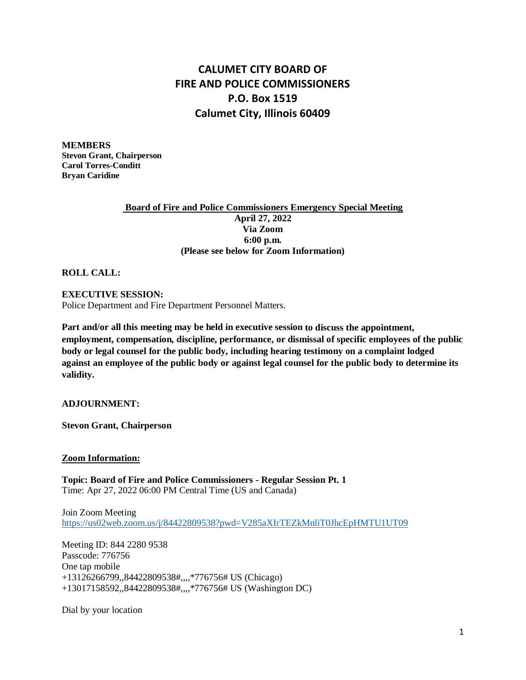## **CALUMET CITY BOARD OF FIRE AND POLICE COMMISSIONERS P.O. Box 1519 Calumet City, Illinois 60409**

**MEMBERS Stevon Grant, Chairperson Carol Torres-Conditt Bryan Caridine**

## **Board of Fire and Police Commissioners Emergency Special Meeting April 27, 2022 Via Zoom 6:00 p.m. (Please see below for Zoom Information)**

**ROLL CALL:**

**EXECUTIVE SESSION:** Police Department and Fire Department Personnel Matters.

**Part and/or all this meeting may be held in executive session to discuss the appointment, employment, compensation, discipline, performance, or dismissal of specific employees of the public body or legal counsel for the public body, including hearing testimony on a complaint lodged against an employee of the public body or against legal counsel for the public body to determine its validity.** 

**ADJOURNMENT:**

**Stevon Grant, Chairperson**

**Zoom Information:**

**Topic: Board of Fire and Police Commissioners - Regular Session Pt. 1** Time: Apr 27, 2022 06:00 PM Central Time (US and Canada)

Join Zoom Meeting <https://us02web.zoom.us/j/84422809538?pwd=V285aXIrTEZkMnliT0JhcEpHMTU1UT09>

Meeting ID: 844 2280 9538 Passcode: 776756 One tap mobile +13126266799,,84422809538#,,,,\*776756# US (Chicago) +13017158592,,84422809538#,,,,\*776756# US (Washington DC)

Dial by your location